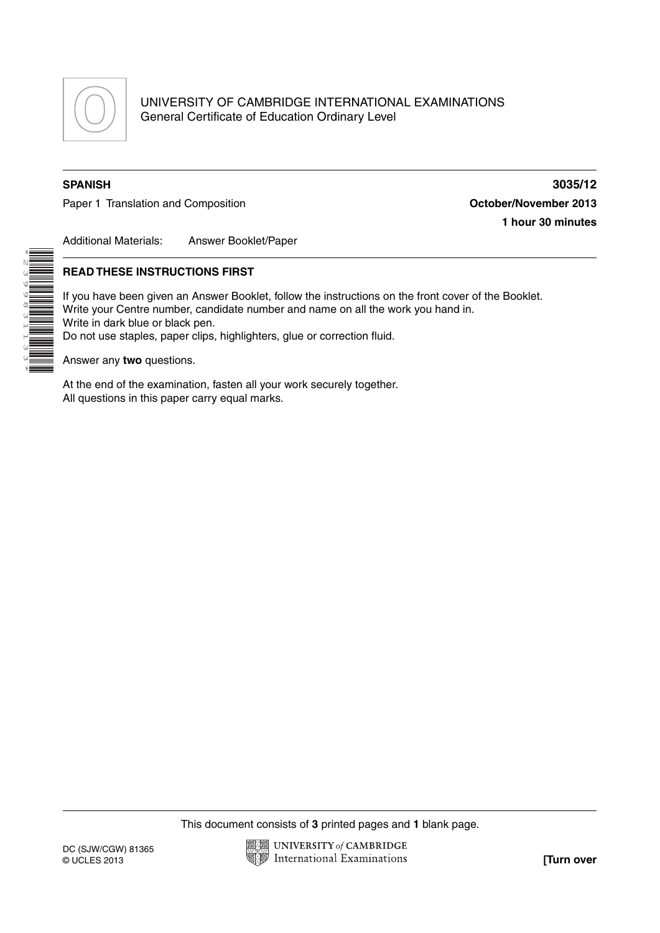

UNIVERSITY OF CAMBRIDGE INTERNATIONAL EXAMINATIONS General Certificate of Education Ordinary Level

\*2399831133\*

Paper 1 Translation and Composition **Composition Consumer 2013** 

**SPANISH 3035/12 1 hour 30 minutes**

Additional Materials: Answer Booklet/Paper

## **READ THESE INSTRUCTIONS FIRST**

If you have been given an Answer Booklet, follow the instructions on the front cover of the Booklet. Write your Centre number, candidate number and name on all the work you hand in. Write in dark blue or black pen. Do not use staples, paper clips, highlighters, glue or correction fluid.

Answer any **two** questions.

At the end of the examination, fasten all your work securely together. All questions in this paper carry equal marks.

This document consists of **3** printed pages and **1** blank page.

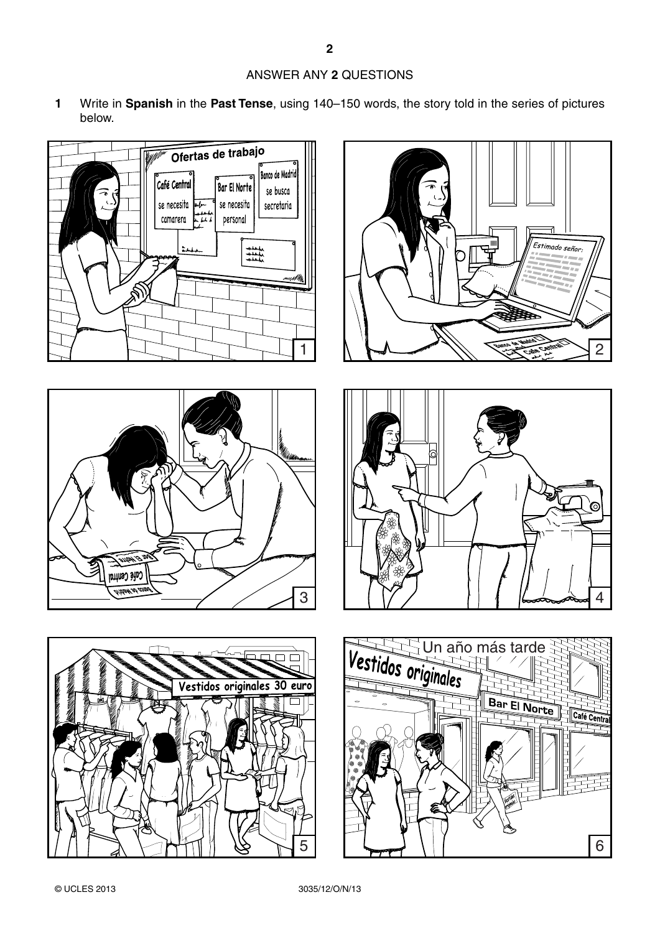## ANSWER ANY **2** QUESTIONS

**1** Write in **Spanish** in the **Past Tense**, using 140–150 words, the story told in the series of pictures below.











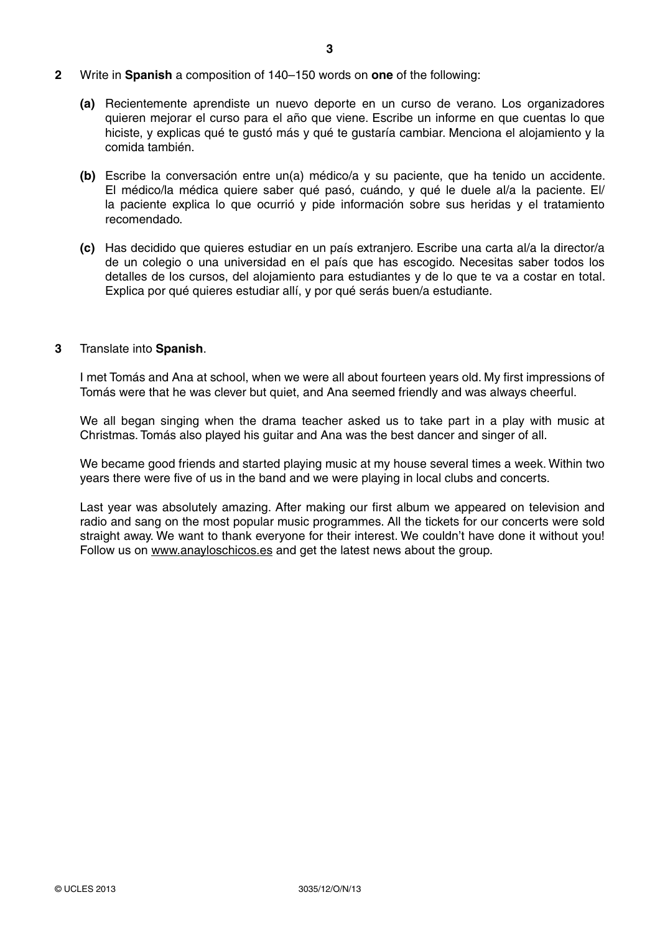- **2** Write in **Spanish** a composition of 140–150 words on **one** of the following:
	- **(a)** Recientemente aprendiste un nuevo deporte en un curso de verano. Los organizadores quieren mejorar el curso para el año que viene. Escribe un informe en que cuentas lo que hiciste, y explicas qué te gustó más y qué te gustaría cambiar. Menciona el alojamiento y la comida también.
	- **(b)** Escribe la conversación entre un(a) médico/a y su paciente, que ha tenido un accidente. El médico/la médica quiere saber qué pasó, cuándo, y qué le duele al/a la paciente. El/ la paciente explica lo que ocurrió y pide información sobre sus heridas y el tratamiento recomendado.
	- **(c)** Has decidido que quieres estudiar en un país extranjero. Escribe una carta al/a la director/a de un colegio o una universidad en el país que has escogido. Necesitas saber todos los detalles de los cursos, del alojamiento para estudiantes y de lo que te va a costar en total. Explica por qué quieres estudiar allí, y por qué serás buen/a estudiante.

## **3** Translate into **Spanish**.

I met Tomás and Ana at school, when we were all about fourteen years old. My first impressions of Tomás were that he was clever but quiet, and Ana seemed friendly and was always cheerful.

We all began singing when the drama teacher asked us to take part in a play with music at Christmas. Tomás also played his guitar and Ana was the best dancer and singer of all.

We became good friends and started playing music at my house several times a week. Within two years there were five of us in the band and we were playing in local clubs and concerts.

Last year was absolutely amazing. After making our first album we appeared on television and radio and sang on the most popular music programmes. All the tickets for our concerts were sold straight away. We want to thank everyone for their interest. We couldn't have done it without you! Follow us on www.anayloschicos.es and get the latest news about the group.